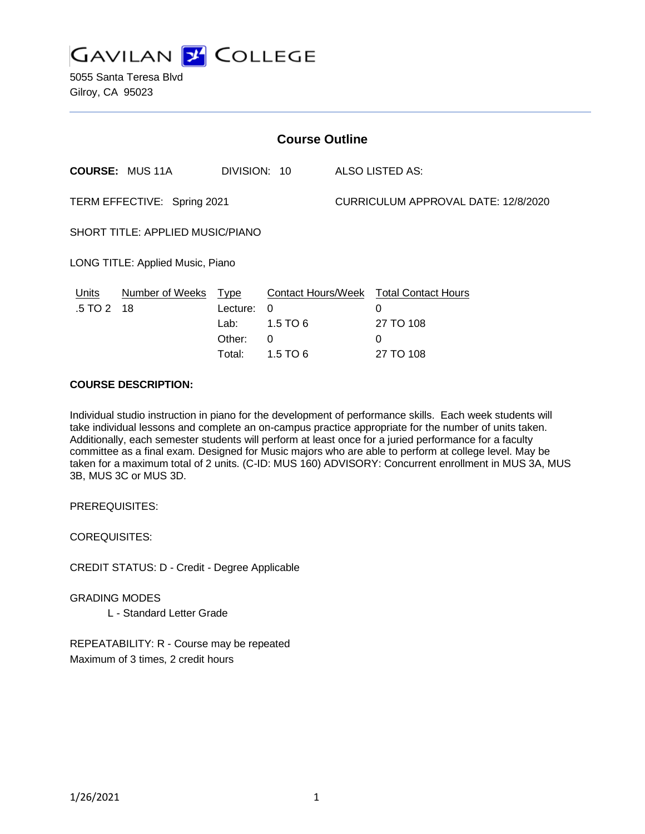

5055 Santa Teresa Blvd Gilroy, CA 95023

| <b>Course Outline</b>            |                            |                            |                                                 |                                     |                                                   |
|----------------------------------|----------------------------|----------------------------|-------------------------------------------------|-------------------------------------|---------------------------------------------------|
|                                  | <b>COURSE: MUS 11A</b>     | DIVISION: 10               |                                                 |                                     | ALSO LISTED AS:                                   |
| TERM EFFECTIVE: Spring 2021      |                            |                            |                                                 | CURRICULUM APPROVAL DATE: 12/8/2020 |                                                   |
| SHORT TITLE: APPLIED MUSIC/PIANO |                            |                            |                                                 |                                     |                                                   |
| LONG TITLE: Applied Music, Piano |                            |                            |                                                 |                                     |                                                   |
| Units<br>.5 TO 2                 | Number of Weeks Type<br>18 | Lecture:<br>Lab:<br>Other: | <b>Contact Hours/Week</b><br>0<br>1.5 TO 6<br>0 |                                     | <b>Total Contact Hours</b><br>0<br>27 TO 108<br>0 |
|                                  |                            | Total:                     | 1.5 TO 6                                        |                                     | 27 TO 108                                         |

#### **COURSE DESCRIPTION:**

Individual studio instruction in piano for the development of performance skills. Each week students will take individual lessons and complete an on-campus practice appropriate for the number of units taken. Additionally, each semester students will perform at least once for a juried performance for a faculty committee as a final exam. Designed for Music majors who are able to perform at college level. May be taken for a maximum total of 2 units. (C-ID: MUS 160) ADVISORY: Concurrent enrollment in MUS 3A, MUS 3B, MUS 3C or MUS 3D.

PREREQUISITES:

COREQUISITES:

CREDIT STATUS: D - Credit - Degree Applicable

GRADING MODES

L - Standard Letter Grade

REPEATABILITY: R - Course may be repeated Maximum of 3 times, 2 credit hours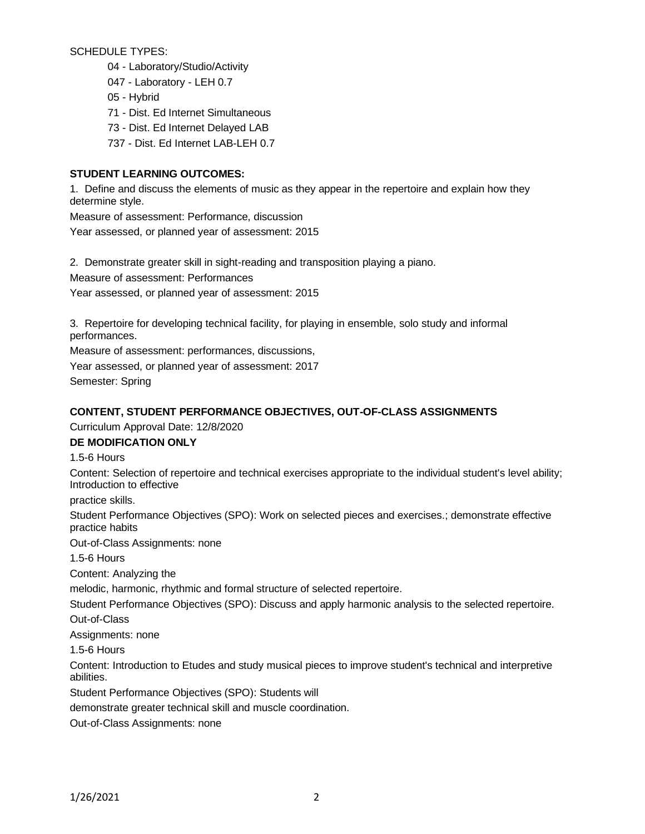SCHEDULE TYPES:

04 - Laboratory/Studio/Activity

- 047 Laboratory LEH 0.7
- 05 Hybrid

71 - Dist. Ed Internet Simultaneous

- 73 Dist. Ed Internet Delayed LAB
- 737 Dist. Ed Internet LAB-LEH 0.7

## **STUDENT LEARNING OUTCOMES:**

1. Define and discuss the elements of music as they appear in the repertoire and explain how they determine style.

Measure of assessment: Performance, discussion Year assessed, or planned year of assessment: 2015

2. Demonstrate greater skill in sight-reading and transposition playing a piano.

Measure of assessment: Performances

Year assessed, or planned year of assessment: 2015

3. Repertoire for developing technical facility, for playing in ensemble, solo study and informal performances.

Measure of assessment: performances, discussions,

Year assessed, or planned year of assessment: 2017

Semester: Spring

## **CONTENT, STUDENT PERFORMANCE OBJECTIVES, OUT-OF-CLASS ASSIGNMENTS**

Curriculum Approval Date: 12/8/2020

#### **DE MODIFICATION ONLY**

1.5-6 Hours

Content: Selection of repertoire and technical exercises appropriate to the individual student's level ability; Introduction to effective

practice skills.

Student Performance Objectives (SPO): Work on selected pieces and exercises.; demonstrate effective practice habits

Out-of-Class Assignments: none

1.5-6 Hours

Content: Analyzing the

melodic, harmonic, rhythmic and formal structure of selected repertoire.

Student Performance Objectives (SPO): Discuss and apply harmonic analysis to the selected repertoire.

Out-of-Class

Assignments: none

1.5-6 Hours

Content: Introduction to Etudes and study musical pieces to improve student's technical and interpretive abilities.

Student Performance Objectives (SPO): Students will

demonstrate greater technical skill and muscle coordination.

Out-of-Class Assignments: none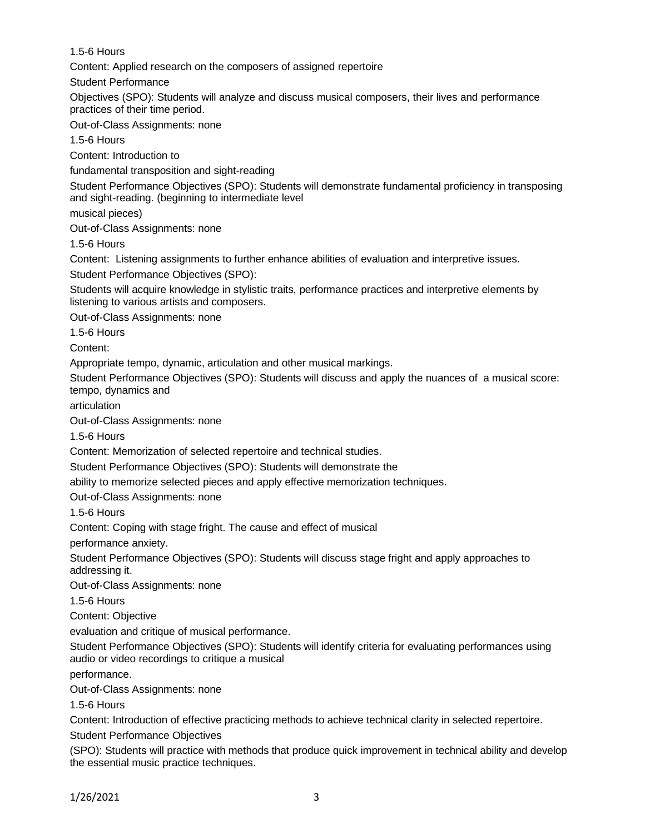## 1.5-6 Hours

Content: Applied research on the composers of assigned repertoire

Student Performance

Objectives (SPO): Students will analyze and discuss musical composers, their lives and performance practices of their time period.

Out-of-Class Assignments: none

1.5-6 Hours

Content: Introduction to

fundamental transposition and sight-reading

Student Performance Objectives (SPO): Students will demonstrate fundamental proficiency in transposing and sight-reading. (beginning to intermediate level

musical pieces)

Out-of-Class Assignments: none

1.5-6 Hours

Content: Listening assignments to further enhance abilities of evaluation and interpretive issues.

Student Performance Objectives (SPO):

Students will acquire knowledge in stylistic traits, performance practices and interpretive elements by listening to various artists and composers.

Out-of-Class Assignments: none

1.5-6 Hours

Content:

Appropriate tempo, dynamic, articulation and other musical markings.

Student Performance Objectives (SPO): Students will discuss and apply the nuances of a musical score: tempo, dynamics and

articulation

Out-of-Class Assignments: none

1.5-6 Hours

Content: Memorization of selected repertoire and technical studies.

Student Performance Objectives (SPO): Students will demonstrate the

ability to memorize selected pieces and apply effective memorization techniques.

Out-of-Class Assignments: none

1.5-6 Hours

Content: Coping with stage fright. The cause and effect of musical

performance anxiety.

Student Performance Objectives (SPO): Students will discuss stage fright and apply approaches to addressing it.

Out-of-Class Assignments: none

1.5-6 Hours

Content: Objective

evaluation and critique of musical performance.

Student Performance Objectives (SPO): Students will identify criteria for evaluating performances using audio or video recordings to critique a musical

performance.

Out-of-Class Assignments: none

1.5-6 Hours

Content: Introduction of effective practicing methods to achieve technical clarity in selected repertoire.

Student Performance Objectives

(SPO): Students will practice with methods that produce quick improvement in technical ability and develop the essential music practice techniques.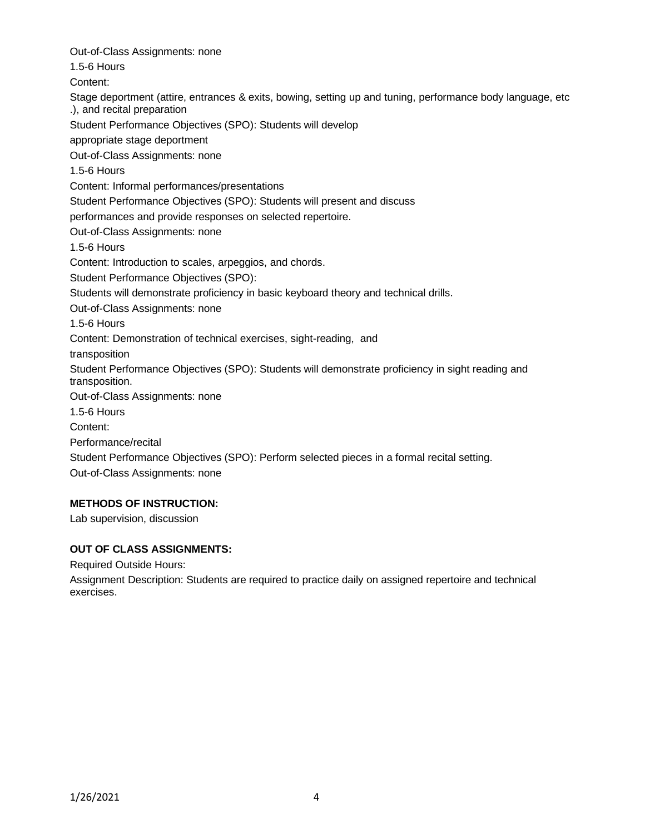Out-of-Class Assignments: none 1.5-6 Hours Content: Stage deportment (attire, entrances & exits, bowing, setting up and tuning, performance body language, etc .), and recital preparation Student Performance Objectives (SPO): Students will develop appropriate stage deportment Out-of-Class Assignments: none 1.5-6 Hours Content: Informal performances/presentations Student Performance Objectives (SPO): Students will present and discuss performances and provide responses on selected repertoire. Out-of-Class Assignments: none 1.5-6 Hours Content: Introduction to scales, arpeggios, and chords. Student Performance Objectives (SPO): Students will demonstrate proficiency in basic keyboard theory and technical drills. Out-of-Class Assignments: none 1.5-6 Hours Content: Demonstration of technical exercises, sight-reading, and transposition Student Performance Objectives (SPO): Students will demonstrate proficiency in sight reading and transposition. Out-of-Class Assignments: none 1.5-6 Hours Content: Performance/recital Student Performance Objectives (SPO): Perform selected pieces in a formal recital setting. Out-of-Class Assignments: none

## **METHODS OF INSTRUCTION:**

Lab supervision, discussion

#### **OUT OF CLASS ASSIGNMENTS:**

Required Outside Hours:

Assignment Description: Students are required to practice daily on assigned repertoire and technical exercises.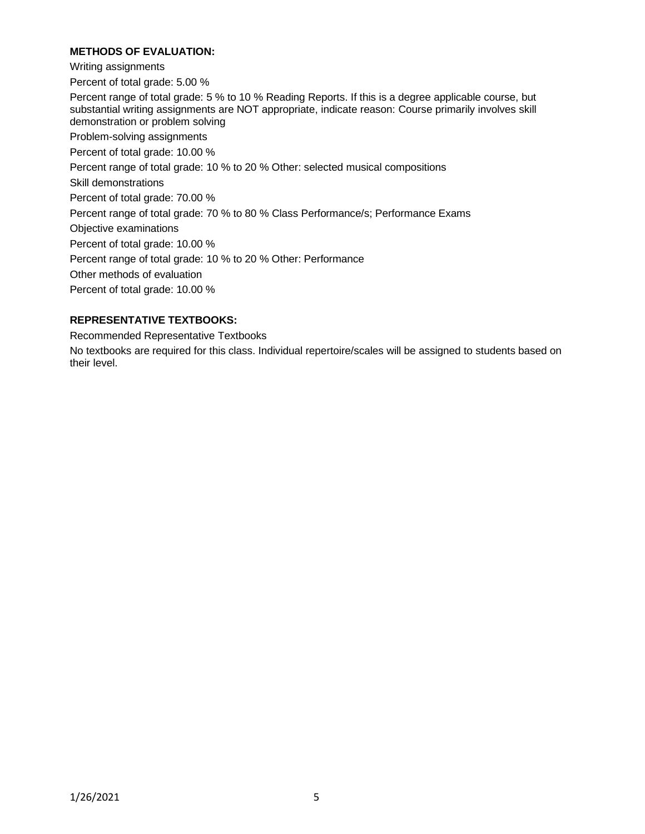# **METHODS OF EVALUATION:**

Writing assignments

Percent of total grade: 5.00 %

Percent range of total grade: 5 % to 10 % Reading Reports. If this is a degree applicable course, but substantial writing assignments are NOT appropriate, indicate reason: Course primarily involves skill demonstration or problem solving

Problem-solving assignments

Percent of total grade: 10.00 %

Percent range of total grade: 10 % to 20 % Other: selected musical compositions

Skill demonstrations

Percent of total grade: 70.00 %

Percent range of total grade: 70 % to 80 % Class Performance/s; Performance Exams

Objective examinations

Percent of total grade: 10.00 %

Percent range of total grade: 10 % to 20 % Other: Performance

Other methods of evaluation

Percent of total grade: 10.00 %

#### **REPRESENTATIVE TEXTBOOKS:**

Recommended Representative Textbooks

No textbooks are required for this class. Individual repertoire/scales will be assigned to students based on their level.